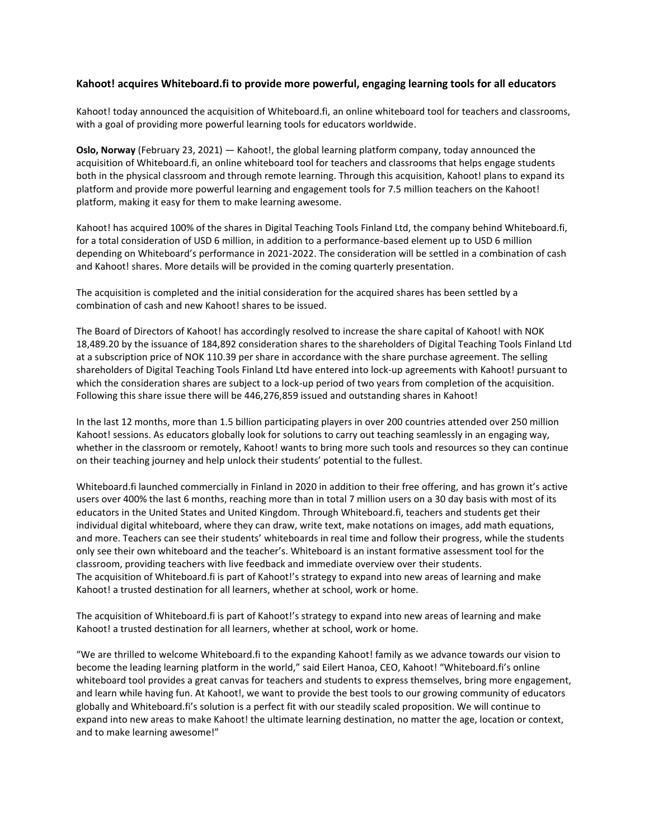# **Kahoot! acquires Whiteboard.fi to provide more powerful, engaging learning tools for all educators**

Kahoot! today announced the acquisition of Whiteboard.fi, an online whiteboard tool for teachers and classrooms, with a goal of providing more powerful learning tools for educators worldwide.

**Oslo, Norway** (February 23, 2021) — Kahoot!, the global learning platform company, today announced the acquisition of Whiteboard.fi, an online whiteboard tool for teachers and classrooms that helps engage students both in the physical classroom and through remote learning. Through this acquisition, Kahoot! plans to expand its platform and provide more powerful learning and engagement tools for 7.5 million teachers on the Kahoot! platform, making it easy for them to make learning awesome.

Kahoot! has acquired 100% of the shares in Digital Teaching Tools Finland Ltd, the company behind Whiteboard.fi, for a total consideration of USD 6 million, in addition to a performance-based element up to USD 6 million depending on Whiteboard's performance in 2021-2022. The consideration will be settled in a combination of cash and Kahoot! shares. More details will be provided in the coming quarterly presentation.

The acquisition is completed and the initial consideration for the acquired shares has been settled by a combination of cash and new Kahoot! shares to be issued.

The Board of Directors of Kahoot! has accordingly resolved to increase the share capital of Kahoot! with NOK 18,489.20 by the issuance of 184,892 consideration shares to the shareholders of Digital Teaching Tools Finland Ltd at a subscription price of NOK 110.39 per share in accordance with the share purchase agreement. The selling shareholders of Digital Teaching Tools Finland Ltd have entered into lock-up agreements with Kahoot! pursuant to which the consideration shares are subject to a lock-up period of two years from completion of the acquisition. Following this share issue there will be 446,276,859 issued and outstanding shares in Kahoot!

In the last 12 months, more than 1.5 billion participating players in over 200 countries attended over 250 million Kahoot! sessions. As educators globally look for solutions to carry out teaching seamlessly in an engaging way, whether in the classroom or remotely, Kahoot! wants to bring more such tools and resources so they can continue on their teaching journey and help unlock their students' potential to the fullest.

Whiteboard.fi launched commercially in Finland in 2020 in addition to their free offering, and has grown it's active users over 400% the last 6 months, reaching more than in total 7 million users on a 30 day basis with most of its educators in the United States and United Kingdom. Through Whiteboard.fi, teachers and students get their individual digital whiteboard, where they can draw, write text, make notations on images, add math equations, and more. Teachers can see their students' whiteboards in real time and follow their progress, while the students only see their own whiteboard and the teacher's. Whiteboard is an instant formative assessment tool for the classroom, providing teachers with live feedback and immediate overview over their students. The acquisition of Whiteboard.fi is part of Kahoot!'s strategy to expand into new areas of learning and make Kahoot! a trusted destination for all learners, whether at school, work or home.

The acquisition of Whiteboard.fi is part of Kahoot!'s strategy to expand into new areas of learning and make Kahoot! a trusted destination for all learners, whether at school, work or home.

"We are thrilled to welcome Whiteboard.fi to the expanding Kahoot! family as we advance towards our vision to become the leading learning platform in the world," said Eilert Hanoa, CEO, Kahoot! "Whiteboard.fi's online whiteboard tool provides a great canvas for teachers and students to express themselves, bring more engagement, and learn while having fun. At Kahoot!, we want to provide the best tools to our growing community of educators globally and Whiteboard.fi's solution is a perfect fit with our steadily scaled proposition. We will continue to expand into new areas to make Kahoot! the ultimate learning destination, no matter the age, location or context, and to make learning awesome!"